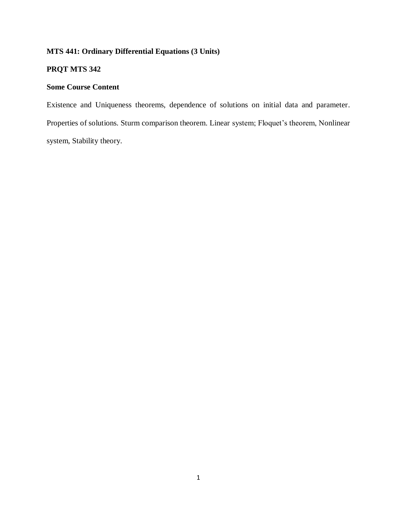# **MTS 441: Ordinary Differential Equations (3 Units)**

# **PRQT MTS 342**

# **Some Course Content**

Existence and Uniqueness theorems, dependence of solutions on initial data and parameter. Properties of solutions. Sturm comparison theorem. Linear system; Floquet's theorem, Nonlinear system, Stability theory.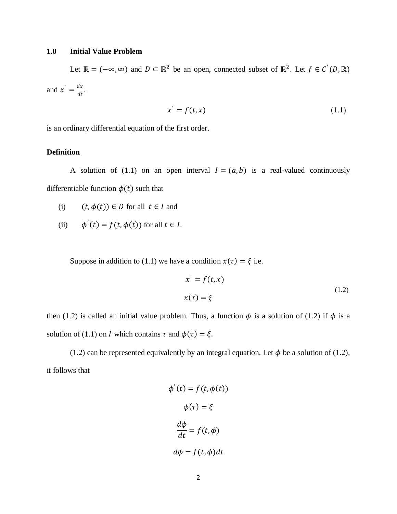## **1.0 Initial Value Problem**

Let  $\mathbb{R} = (-\infty, \infty)$  and  $D \subset \mathbb{R}^2$  be an open, connected subset of  $\mathbb{R}^2$ . Let  $f \in C'(D, \mathbb{R})$ and  $x' = \frac{dx}{dt}$  $\frac{dx}{dt}$ .

$$
x' = f(t, x) \tag{1.1}
$$

is an ordinary differential equation of the first order.

## **Definition**

A solution of (1.1) on an open interval  $I = (a, b)$  is a real-valued continuously differentiable function  $\phi(t)$  such that

- (i)  $(t, \phi(t)) \in D$  for all  $t \in I$  and
- (ii)  $\phi'(t) = f(t, \phi(t))$  for all  $t \in I$ .

Suppose in addition to (1.1) we have a condition  $x(\tau) = \xi$  i.e.

$$
x' = f(t, x)
$$
  
\n
$$
x(\tau) = \xi
$$
\n(1.2)

then (1.2) is called an initial value problem. Thus, a function  $\phi$  is a solution of (1.2) if  $\phi$  is a solution of (1.1) on *I* which contains  $\tau$  and  $\phi(\tau) = \xi$ .

(1.2) can be represented equivalently by an integral equation. Let  $\phi$  be a solution of (1.2), it follows that

$$
\phi'(t) = f(t, \phi(t))
$$

$$
\phi(\tau) = \xi
$$

$$
\frac{d\phi}{dt} = f(t, \phi)
$$

$$
d\phi = f(t, \phi)dt
$$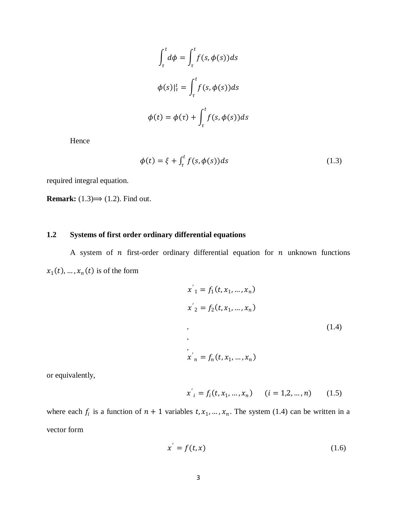$$
\int_{\tau}^{t} d\phi = \int_{\tau}^{t} f(s, \phi(s)) ds
$$

$$
\phi(s)|_{\tau}^{t} = \int_{\tau}^{t} f(s, \phi(s)) ds
$$

$$
\phi(t) = \phi(\tau) + \int_{\tau}^{t} f(s, \phi(s)) ds
$$

Hence

$$
\phi(t) = \xi + \int_{\tau}^{t} f(s, \phi(s))ds
$$
\n(1.3)

required integral equation.

**Remark:**  $(1.3) \rightarrow (1.2)$ . Find out.

# **1.2 Systems of first order ordinary differential equations**

A system of  $n$  first-order ordinary differential equation for  $n$  unknown functions  $x_1(t), \ldots, x_n(t)$  is of the form

$$
x'_{1} = f_{1}(t, x_{1}, ..., x_{n})
$$
  
\n
$$
x'_{2} = f_{2}(t, x_{1}, ..., x_{n})
$$
  
\n
$$
\vdots
$$
  
\n
$$
x'_{n} = f_{n}(t, x_{1}, ..., x_{n})
$$
  
\n(1.4)

or equivalently,

$$
x'_{i} = f_{i}(t, x_{1}, ..., x_{n}) \qquad (i = 1, 2, ..., n) \qquad (1.5)
$$

where each  $f_i$  is a function of  $n + 1$  variables  $t, x_1, ..., x_n$ . The system (1.4) can be written in a vector form

$$
x' = f(t, x) \tag{1.6}
$$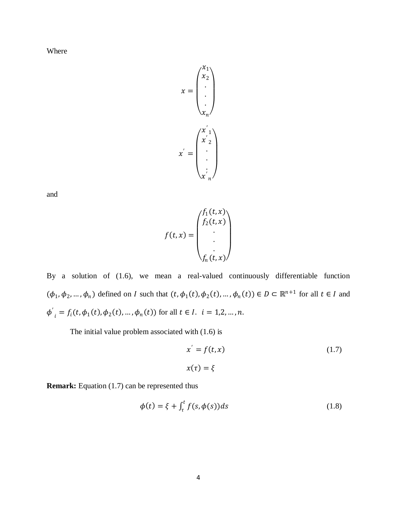Where

$$
x = \begin{pmatrix} x_1 \\ x_2 \\ \vdots \\ x_n \end{pmatrix}
$$

$$
x' = \begin{pmatrix} x'_1 \\ x'_2 \\ \vdots \\ x'_n \end{pmatrix}
$$

and

$$
f(t,x) = \begin{pmatrix} f_1(t,x) \\ f_2(t,x) \\ \cdot \\ \cdot \\ \cdot \\ f_n(t,x) \end{pmatrix}
$$

By a solution of (1.6), we mean a real-valued continuously differentiable function  $(\phi_1, \phi_2, ..., \phi_n)$  defined on I such that  $(t, \phi_1(t), \phi_2(t), ..., \phi_n(t)) \in D \subset \mathbb{R}^{n+1}$  for all  $t \in I$  and  $\boldsymbol{\phi}^{'}$  $\phi_i = f_i(t, \phi_1(t), \phi_2(t), \dots, \phi_n(t))$  for all  $t \in I$ .  $i = 1, 2, \dots, n$ .

The initial value problem associated with (1.6) is

$$
x' = f(t, x)
$$
  
\n
$$
x(\tau) = \xi
$$
\n(1.7)

**Remark:** Equation (1.7) can be represented thus

$$
\phi(t) = \xi + \int_{\tau}^{t} f(s, \phi(s)) ds \tag{1.8}
$$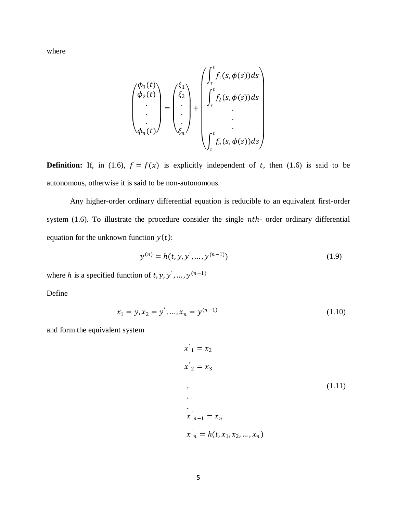where

$$
\begin{pmatrix}\n\phi_1(t) \\
\phi_2(t) \\
\vdots \\
\phi_n(t)\n\end{pmatrix} = \begin{pmatrix}\n\xi_1 \\
\xi_2 \\
\vdots \\
\xi_n\n\end{pmatrix} + \begin{pmatrix}\n\int_t^t f_1(s, \phi(s))ds \\
\int_t^t f_2(s, \phi(s))ds \\
\vdots \\
\int_t^t f_n(s, \phi(s))ds\n\end{pmatrix}
$$

**Definition:** If, in (1.6),  $f = f(x)$  is explicitly independent of t, then (1.6) is said to be autonomous, otherwise it is said to be non-autonomous.

Any higher-order ordinary differential equation is reducible to an equivalent first-order system (1.6). To illustrate the procedure consider the single *nth*- order ordinary differential equation for the unknown function  $y(t)$ :

$$
y^{(n)} = h(t, y, y', ..., y^{(n-1)})
$$
\n(1.9)

where h is a specified function of t, y, y', ...,  $y^{(n-1)}$ 

Define

$$
x_1 = y, x_2 = y', ..., x_n = y^{(n-1)}
$$
\n(1.10)

and form the equivalent system

$$
x'_{1} = x_{2}
$$
  
\n
$$
x'_{2} = x_{3}
$$
  
\n...  
\n
$$
x'_{n-1} = x_{n}
$$
  
\n
$$
x'_{n} = h(t, x_{1}, x_{2}, ..., x_{n})
$$
  
\n(1.11)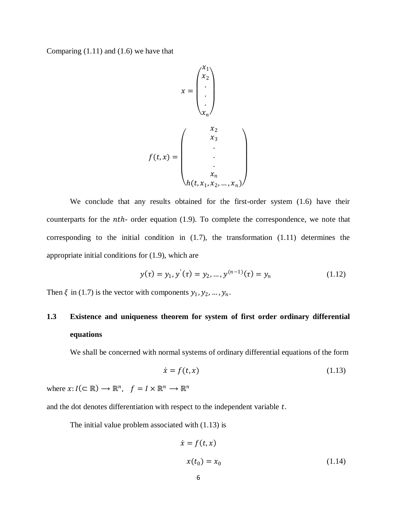Comparing  $(1.11)$  and  $(1.6)$  we have that

$$
x = \begin{pmatrix} x_1 \\ x_2 \\ \vdots \\ x_n \end{pmatrix}
$$

$$
f(t, x) = \begin{pmatrix} x_2 \\ x_3 \\ \vdots \\ x_n \\ \vdots \\ x_n \\ h(t, x_1, x_2, \dots, x_n) \end{pmatrix}
$$

We conclude that any results obtained for the first-order system (1.6) have their counterparts for the  $nth$ - order equation  $(1.9)$ . To complete the correspondence, we note that corresponding to the initial condition in (1.7), the transformation (1.11) determines the appropriate initial conditions for (1.9), which are

$$
y(\tau) = y_1, y'(\tau) = y_2, ..., y^{(n-1)}(\tau) = y_n
$$
\n(1.12)

Then  $\xi$  in (1.7) is the vector with components  $y_1, y_2, ..., y_n$ .

# **1.3 Existence and uniqueness theorem for system of first order ordinary differential equations**

We shall be concerned with normal systems of ordinary differential equations of the form

$$
\dot{x} = f(t, x) \tag{1.13}
$$

where  $x: I(\subseteq \mathbb{R}) \longrightarrow \mathbb{R}^n$ ,  $f = I \times \mathbb{R}^n \longrightarrow \mathbb{R}^n$ 

and the dot denotes differentiation with respect to the independent variable  $t$ .

The initial value problem associated with (1.13) is

$$
\dot{x} = f(t, x)
$$
  

$$
x(t_0) = x_0
$$
 (1.14)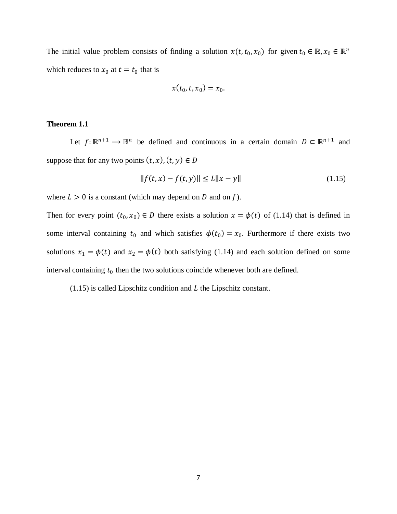The initial value problem consists of finding a solution  $x(t, t_0, x_0)$  for given  $t_0 \in \mathbb{R}, x_0 \in \mathbb{R}^n$ which reduces to  $x_0$  at  $t = t_0$  that is

$$
x(t_0,t,x_0)=x_0.
$$

#### **Theorem 1.1**

Let  $f: \mathbb{R}^{n+1} \to \mathbb{R}^n$  be defined and continuous in a certain domain  $D \subset \mathbb{R}^{n+1}$  and suppose that for any two points  $(t, x)$ ,  $(t, y) \in D$ 

$$
||f(t, x) - f(t, y)|| \le L||x - y|| \tag{1.15}
$$

where  $L > 0$  is a constant (which may depend on D and on f).

Then for every point  $(t_0, x_0) \in D$  there exists a solution  $x = \phi(t)$  of (1.14) that is defined in some interval containing  $t_0$  and which satisfies  $\phi(t_0) = x_0$ . Furthermore if there exists two solutions  $x_1 = \phi(t)$  and  $x_2 = \phi(t)$  both satisfying (1.14) and each solution defined on some interval containing  $t_0$  then the two solutions coincide whenever both are defined.

 $(1.15)$  is called Lipschitz condition and  $L$  the Lipschitz constant.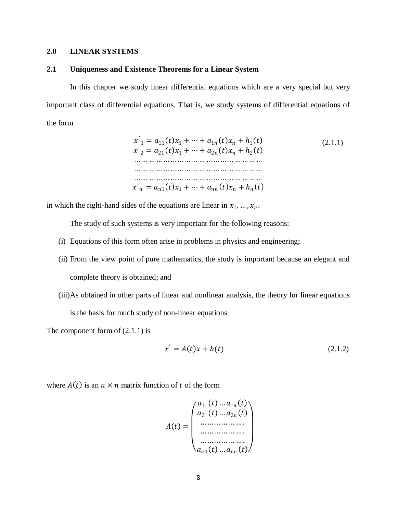## **2.0 LINEAR SYSTEMS**

## **2.1 Uniqueness and Existence Theorems for a Linear System**

In this chapter we study linear differential equations which are a very special but very important class of differential equations. That is, we study systems of differential equations of the form

$$
x'_{1} = a_{11}(t)x_{1} + \dots + a_{1n}(t)x_{n} + h_{1}(t)
$$
  
\n
$$
x'_{2} = a_{21}(t)x_{1} + \dots + a_{2n}(t)x_{n} + h_{2}(t)
$$
  
\n... ... ... ... ... ... ... ... ...  
\n... ... ... ... ... ... ... ... ...  
\n... ... ... ... ... ... ... ... ...  
\n... ... ... ... ... ... ... ... ... ...  
\n... ... ... ... ... ... ... ... ... ... ... ... ... ... ...  
\n
$$
x'_{n} = a_{n1}(t)x_{1} + \dots + a_{nn}(t)x_{n} + h_{n}(t)
$$
\n(2.1.1)

in which the right-hand sides of the equations are linear in  $x_1, ..., x_n$ .

The study of such systems is very important for the following reasons:

- (i) Equations of this form often arise in problems in physics and engineering;
- (ii) From the view point of pure mathematics, the study is important because an elegant and complete theory is obtained; and
- (iii)As obtained in other parts of linear and nonlinear analysis, the theory for linear equations is the basis for much study of non-linear equations.

The component form of  $(2.1.1)$  is

$$
x' = A(t)x + h(t)
$$
 (2.1.2)

where  $A(t)$  is an  $n \times n$  matrix function of t of the form

$$
A(t) = \begin{pmatrix} a_{11}(t) ... a_{1n}(t) \\ a_{21}(t) ... a_{2n}(t) \\ ... ... \\ a_{n1}(t) ... a_{nn}(t) \end{pmatrix}
$$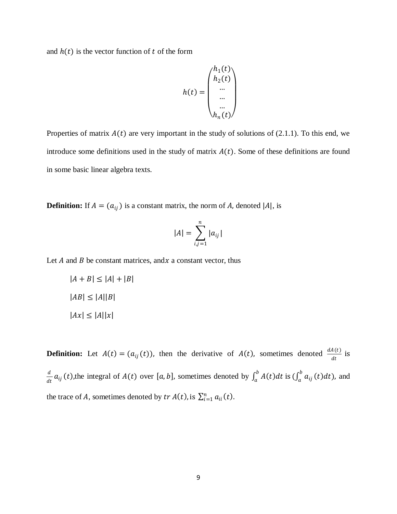and  $h(t)$  is the vector function of t of the form

$$
h(t) = \begin{pmatrix} h_1(t) \\ h_2(t) \\ \dots \\ \dots \\ h_n(t) \end{pmatrix}
$$

Properties of matrix  $A(t)$  are very important in the study of solutions of (2.1.1). To this end, we introduce some definitions used in the study of matrix  $A(t)$ . Some of these definitions are found in some basic linear algebra texts.

**Definition:** If  $A = (a_{ij})$  is a constant matrix, the norm of A, denoted |A|, is

$$
|A| = \sum_{i,j=1}^n |a_{ij}|
$$

Let  $A$  and  $B$  be constant matrices, and  $x$  a constant vector, thus

$$
|A + B| \le |A| + |B|
$$
  

$$
|AB| \le |A||B|
$$
  

$$
|Ax| \le |A||x|
$$

**Definition:** Let  $A(t) = (a_{ij}(t))$ , then the derivative of  $A(t)$ , sometimes denoted  $\frac{dA(t)}{dt}$  is  $\boldsymbol{d}$  $\frac{d}{dt}a_{ij}(t)$ , the integral of  $A(t)$  over [a, b], sometimes denoted by  $\int_a^b A(t)dt$  is  $(\int_a^b a_{ij}(t)dt)$ ,  $\int_a^b a_{ij}(t)dt$ ), and the trace of A, sometimes denoted by  $tr A(t)$ , is  $\sum_{i=1}^{n} a_{ii}(t)$ .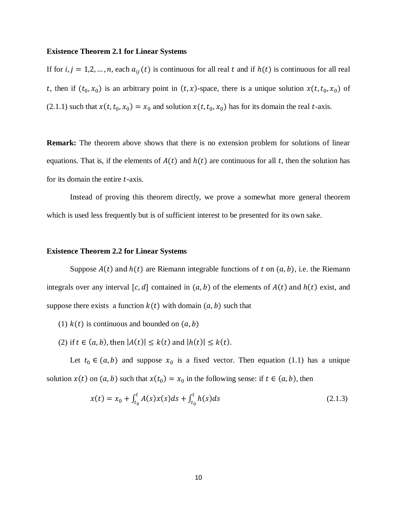#### **Existence Theorem 2.1 for Linear Systems**

If for  $i, j = 1,2,...,n$ , each  $a_{ij}(t)$  is continuous for all real  $t$  and if  $h(t)$  is continuous for all real t, then if  $(t_0, x_0)$  is an arbitrary point in  $(t, x)$ -space, there is a unique solution  $x(t, t_0, x_0)$  of (2.1.1) such that  $x(t, t_0, x_0) = x_0$  and solution  $x(t, t_0, x_0)$  has for its domain the real t-axis.

**Remark:** The theorem above shows that there is no extension problem for solutions of linear equations. That is, if the elements of  $A(t)$  and  $h(t)$  are continuous for all t, then the solution has for its domain the entire  $t$ -axis.

Instead of proving this theorem directly, we prove a somewhat more general theorem which is used less frequently but is of sufficient interest to be presented for its own sake.

## **Existence Theorem 2.2 for Linear Systems**

Suppose  $A(t)$  and  $h(t)$  are Riemann integrable functions of t on  $(a, b)$ , i.e. the Riemann integrals over any interval [c, d] contained in  $(a, b)$  of the elements of  $A(t)$  and  $h(t)$  exist, and suppose there exists a function  $k(t)$  with domain  $(a, b)$  such that

- (1)  $k(t)$  is continuous and bounded on  $(a, b)$
- (2) if  $t \in (a, b)$ , then  $|A(t)| \leq k(t)$  and  $|h(t)| \leq k(t)$ .

Let  $t_0 \in (a, b)$  and suppose  $x_0$  is a fixed vector. Then equation (1.1) has a unique solution  $x(t)$  on  $(a, b)$  such that  $x(t_0) = x_0$  in the following sense: if  $t \in (a, b)$ , then

$$
x(t) = x_0 + \int_{t_0}^t A(s)x(s)ds + \int_{t_0}^t h(s)ds
$$
\n(2.1.3)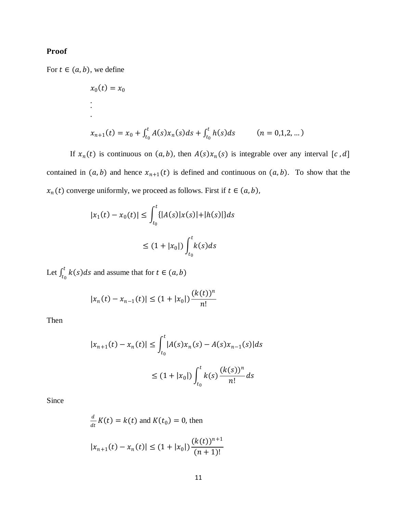# Proof

For  $t \in (a, b)$ , we define

$$
x_0(t) = x_0
$$
  
\n:  
\n
$$
x_{n+1}(t) = x_0 + \int_{t_0}^t A(s)x_n(s)ds + \int_{t_0}^t h(s)ds \qquad (n = 0, 1, 2, ...)
$$

If  $x_n(t)$  is continuous on  $(a, b)$ , then  $A(s)x_n(s)$  is integrable over any interval [c, d] contained in  $(a, b)$  and hence  $x_{n+1}(t)$  is defined and continuous on  $(a, b)$ . To show that the  $x_n(t)$  converge uniformly, we proceed as follows. First if  $t \in (a, b)$ ,

$$
|x_1(t) - x_0(t)| \le \int_{t_0}^t \{ |A(s)|x(s)| + |h(s)| \} ds
$$
  

$$
\le (1 + |x_0|) \int_{t_0}^t k(s) ds
$$

Let  $\int_{t_0}^t k(s)ds$  $\int_{t_0}^{t} k(s)ds$  and assume that for  $t \in (a, b)$ 

$$
|x_n(t) - x_{n-1}(t)| \le (1 + |x_0|) \frac{(k(t))^n}{n!}
$$

Then

$$
|x_{n+1}(t) - x_n(t)| \le \int_{t_0}^t |A(s)x_n(s) - A(s)x_{n-1}(s)|ds
$$
  

$$
\le (1 + |x_0|) \int_{t_0}^t k(s) \frac{(k(s))^n}{n!} ds
$$

Since

$$
\frac{d}{dt}K(t) = k(t) \text{ and } K(t_0) = 0 \text{, then}
$$
\n
$$
|x_{n+1}(t) - x_n(t)| \le (1 + |x_0|) \frac{(k(t))^{n+1}}{(n+1)!}
$$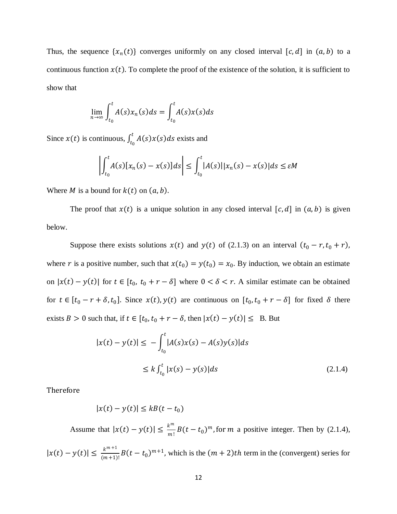Thus, the sequence  $\{x_n(t)\}$  converges uniformly on any closed interval  $[c, d]$  in  $(a, b)$  to a continuous function  $x(t)$ . To complete the proof of the existence of the solution, it is sufficient to show that

$$
\lim_{n \to \infty} \int_{t_0}^t A(s)x_n(s)ds = \int_{t_0}^t A(s)x(s)ds
$$

Since  $x(t)$  is continuous,  $\int_{t_0}^{t} A(s)x(s)ds$  $\int_{t_0}^{t} A(s)x(s)ds$  exists and

$$
\left|\int_{t_0}^t A(s)[x_n(s) - x(s)]ds\right| \le \int_{t_0}^t |A(s)||x_n(s) - x(s)|ds \le \varepsilon M
$$

Where *M* is a bound for  $k(t)$  on  $(a, b)$ .

The proof that  $x(t)$  is a unique solution in any closed interval  $[c, d]$  in  $(a, b)$  is given below.

Suppose there exists solutions  $x(t)$  and  $y(t)$  of (2.1.3) on an interval  $(t_0 - r, t_0 + r)$ , where r is a positive number, such that  $x(t_0) = y(t_0) = x_0$ . By induction, we obtain an estimate on  $|x(t) - y(t)|$  for  $t \in [t_0, t_0 + r - \delta]$  where  $0 < \delta < r$ . A similar estimate can be obtained for  $t \in [t_0 - r + \delta, t_0]$ . Since  $x(t), y(t)$  are continuous on  $[t_0, t_0 + r - \delta]$  for fixed  $\delta$  there exists  $B > 0$  such that, if  $t \in [t_0, t_0 + r - \delta$ , then  $|x(t) - y(t)| \leq B$ . But

$$
|x(t) - y(t)| \le -\int_{t_0}^t |A(s)x(s) - A(s)y(s)|ds
$$
  
 
$$
\le k \int_{t_0}^t |x(s) - y(s)|ds
$$
 (2.1.4)

Therefore

$$
|x(t) - y(t)| \le kB(t - t_0)
$$

Assume that  $|x(t) - y(t)| \leq \frac{k^{m}}{m!}$  $\frac{k^m}{m!}B(t-t_0)^m$ , for m a positive integer. Then by (2.1.4),

 $|x(t) - y(t)| \leq \frac{k^{m+1}}{(m+1)}$  $\frac{k^{m+1}}{(m+1)!}B(t-t_0)^{m+1}$ , which is the  $(m+2)th$  term in the (convergent) series for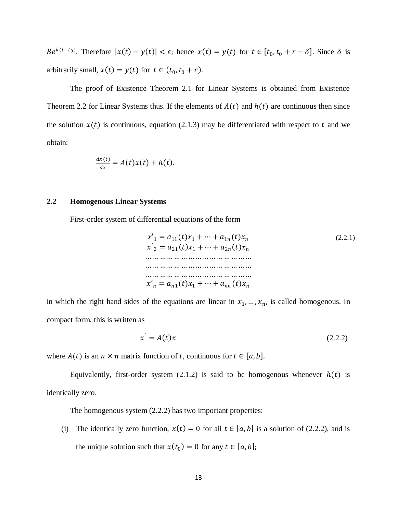$Be^{k(t-t_0)}$ . Therefore  $|x(t) - y(t)| < \varepsilon$ ; hence  $x(t) = y(t)$  for  $t \in [t_0, t_0 + r - \delta]$ . Since  $\delta$  is arbitrarily small,  $x(t) = y(t)$  for  $t \in (t_0, t_0 + r)$ .

The proof of Existence Theorem 2.1 for Linear Systems is obtained from Existence Theorem 2.2 for Linear Systems thus. If the elements of  $A(t)$  and  $h(t)$  are continuous then since the solution  $x(t)$  is continuous, equation (2.1.3) may be differentiated with respect to t and we obtain:

$$
\frac{dx(t)}{dx} = A(t)x(t) + h(t).
$$

## **2.2 Homogenous Linear Systems**

First-order system of differential equations of the form

′<sup>1</sup> = 11()<sup>1</sup> + ⋯ + 1 () ′ <sup>2</sup> = 21 <sup>1</sup> + ⋯ + 2 … … …… … … … … … … … … … … … … … …… … … … … … … … … … … … … … …… … … … … … … … … … … … ′ = 1()<sup>1</sup> + ⋯ + () (2.2.1)

in which the right hand sides of the equations are linear in  $x_1, \ldots, x_n$ , is called homogenous. In compact form, this is written as

$$
x' = A(t)x \tag{2.2.2}
$$

where  $A(t)$  is an  $n \times n$  matrix function of t, continuous for  $t \in [a, b]$ .

Equivalently, first-order system  $(2.1.2)$  is said to be homogenous whenever  $h(t)$  is identically zero.

The homogenous system (2.2.2) has two important properties:

(i) The identically zero function,  $x(t) = 0$  for all  $t \in [a, b]$  is a solution of (2.2.2), and is the unique solution such that  $x(t_0) = 0$  for any  $t \in [a, b]$ ;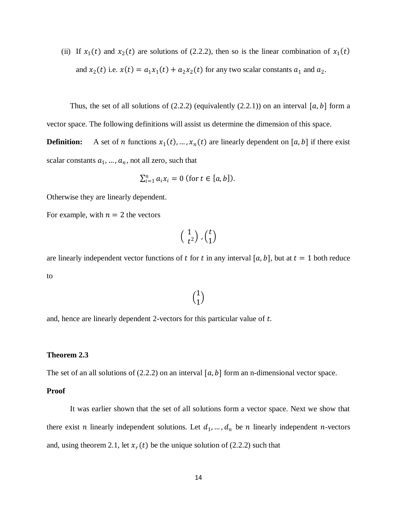(ii) If  $x_1(t)$  and  $x_2(t)$  are solutions of (2.2.2), then so is the linear combination of  $x_1(t)$ and  $x_2(t)$  i.e.  $x(t) = a_1 x_1(t) + a_2 x_2(t)$  for any two scalar constants  $a_1$  and  $a_2$ .

Thus, the set of all solutions of  $(2.2.2)$  (equivalently  $(2.2.1)$ ) on an interval [a, b] form a vector space. The following definitions will assist us determine the dimension of this space.

**Definition:** A set of *n* functions  $x_1(t), ..., x_n(t)$  are linearly dependent on [a, b] if there exist scalar constants  $a_1, ..., a_n$ , not all zero, such that

$$
\sum_{i=1}^n a_i x_i = 0 \text{ (for } t \in [a, b]).
$$

Otherwise they are linearly dependent.

For example, with  $n = 2$  the vectors

$$
\left(\begin{array}{c}1\\t^2\end{array}\right), \left(\begin{array}{c}t\\1\end{array}\right)
$$

are linearly independent vector functions of t for t in any interval [a, b], but at  $t = 1$  both reduce to

## $\binom{1}{1}$  $\binom{1}{1}$

and, hence are linearly dependent 2-vectors for this particular value of  $t$ .

#### **Theorem 2.3**

The set of an all solutions of (2.2.2) on an interval  $[a, b]$  form an n-dimensional vector space.

## **Proof**

It was earlier shown that the set of all solutions form a vector space. Next we show that there exist *n* linearly independent solutions. Let  $d_1, \ldots, d_n$  be *n* linearly independent *n*-vectors and, using theorem 2.1, let  $x_r(t)$  be the unique solution of (2.2.2) such that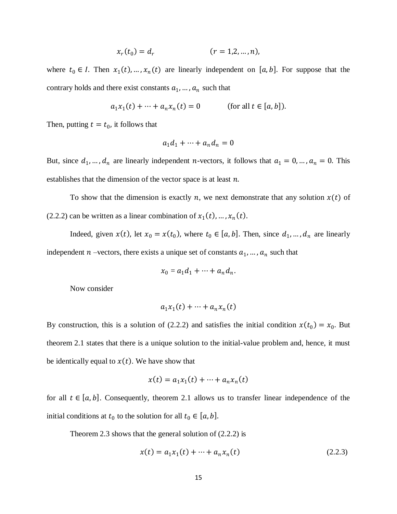$$
x_r(t_0) = d_r \t\t (r = 1, 2, ..., n),
$$

where  $t_0 \in I$ . Then  $x_1(t), ..., x_n(t)$  are linearly independent on [a, b]. For suppose that the contrary holds and there exist constants  $a_1, ..., a_n$  such that

$$
a_1x_1(t) + \dots + a_nx_n(t) = 0
$$
 (for all  $t \in [a, b]$ ).

Then, putting  $t = t_0$ , it follows that

$$
a_1d_1 + \dots + a_nd_n = 0
$$

But, since  $d_1, ..., d_n$  are linearly independent *n*-vectors, it follows that  $a_1 = 0, ..., a_n = 0$ . This establishes that the dimension of the vector space is at least  $n$ .

To show that the dimension is exactly n, we next demonstrate that any solution  $x(t)$  of (2.2.2) can be written as a linear combination of  $x_1(t)$ , ...,  $x_n(t)$ .

Indeed, given  $x(t)$ , let  $x_0 = x(t_0)$ , where  $t_0 \in [a, b]$ . Then, since  $d_1, ..., d_n$  are linearly independent  $n$  –vectors, there exists a unique set of constants  $a_1, ..., a_n$  such that

$$
x_0 = a_1 d_1 + \dots + a_n d_n.
$$

Now consider

$$
a_1x_1(t) + \dots + a_nx_n(t)
$$

By construction, this is a solution of (2.2.2) and satisfies the initial condition  $x(t_0) = x_0$ . But theorem 2.1 states that there is a unique solution to the initial-value problem and, hence, it must be identically equal to  $x(t)$ . We have show that

$$
x(t) = a_1 x_1(t) + \dots + a_n x_n(t)
$$

for all  $t \in [a, b]$ . Consequently, theorem 2.1 allows us to transfer linear independence of the initial conditions at  $t_0$  to the solution for all  $t_0 \in [a, b]$ .

Theorem 2.3 shows that the general solution of (2.2.2) is

$$
x(t) = a_1 x_1(t) + \dots + a_n x_n(t)
$$
 (2.2.3)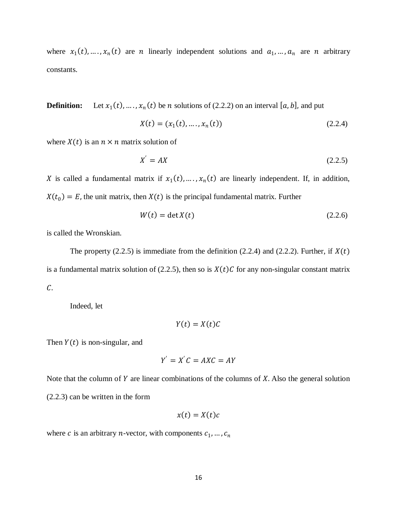where  $x_1(t), \ldots, x_n(t)$  are *n* linearly independent solutions and  $a_1, \ldots, a_n$  are *n* arbitrary constants.

**Definition:**  $(t)$ , ...,  $x_n(t)$  be *n* solutions of (2.2.2) on an interval [a, b], and put

$$
X(t) = (x_1(t), \dots, x_n(t))
$$
\n(2.2.4)

where  $X(t)$  is an  $n \times n$  matrix solution of

$$
X' = AX \tag{2.2.5}
$$

X is called a fundamental matrix if  $x_1(t), \ldots, x_n(t)$  are linearly independent. If, in addition,  $X(t_0) = E$ , the unit matrix, then  $X(t)$  is the principal fundamental matrix. Further

$$
W(t) = \det X(t) \tag{2.2.6}
$$

is called the Wronskian.

The property (2.2.5) is immediate from the definition (2.2.4) and (2.2.2). Further, if  $X(t)$ is a fundamental matrix solution of (2.2.5), then so is  $X(t)C$  for any non-singular constant matrix  $\mathcal{C}.$ 

Indeed, let

$$
Y(t) = X(t)C
$$

Then  $Y(t)$  is non-singular, and

$$
Y' = X'C = AXC = AY
$$

Note that the column of  $Y$  are linear combinations of the columns of  $X$ . Also the general solution (2.2.3) can be written in the form

$$
x(t) = X(t)c
$$

where c is an arbitrary *n*-vector, with components  $c_1, ..., c_n$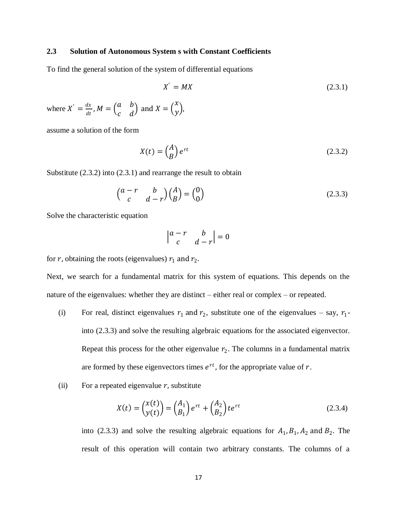## **2.3 Solution of Autonomous System s with Constant Coefficients**

To find the general solution of the system of differential equations

$$
X' = MX
$$
\n<sup>(2.3.1)</sup>

where  $X' = \frac{dx}{dt}$  $\frac{dx}{dt}$  ,  $M = \begin{pmatrix} a & b \\ c & d \end{pmatrix}$  $\begin{pmatrix} a & b \\ c & d \end{pmatrix}$  and  $X = \begin{pmatrix} a & b \\ c & d \end{pmatrix}$  $\mathcal{X}$ ...),

assume a solution of the form

$$
X(t) = \begin{pmatrix} A \\ B \end{pmatrix} e^{rt} \tag{2.3.2}
$$

Substitute (2.3.2) into (2.3.1) and rearrange the result to obtain

$$
\begin{pmatrix} a-r & b \ c & d-r \end{pmatrix} \begin{pmatrix} A \\ B \end{pmatrix} = \begin{pmatrix} 0 \\ 0 \end{pmatrix}
$$
 (2.3.3)

Solve the characteristic equation

$$
\begin{vmatrix} a-r & b \\ c & d-r \end{vmatrix} = 0
$$

for  $r$ , obtaining the roots (eigenvalues)  $r_1$  and  $r_2$ .

Next, we search for a fundamental matrix for this system of equations. This depends on the nature of the eigenvalues: whether they are distinct – either real or complex – or repeated.

- (i) For real, distinct eigenvalues  $r_1$  and  $r_2$ , substitute one of the eigenvalues say,  $r_1$ into (2.3.3) and solve the resulting algebraic equations for the associated eigenvector. Repeat this process for the other eigenvalue  $r_2$ . The columns in a fundamental matrix are formed by these eigenvectors times  $e^{rt}$ , for the appropriate value of  $r$ .
- (ii) For a repeated eigenvalue  $r$ , substitute

$$
X(t) = \begin{pmatrix} x(t) \\ y(t) \end{pmatrix} = \begin{pmatrix} A_1 \\ B_1 \end{pmatrix} e^{rt} + \begin{pmatrix} A_2 \\ B_2 \end{pmatrix} t e^{rt}
$$
\n(2.3.4)

into (2.3.3) and solve the resulting algebraic equations for  $A_1$ ,  $B_1$ ,  $A_2$  and  $B_2$ . The result of this operation will contain two arbitrary constants. The columns of a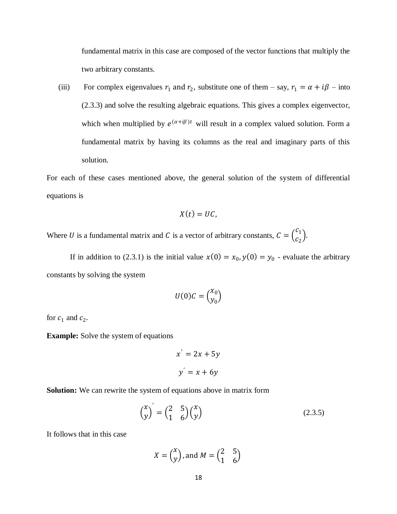fundamental matrix in this case are composed of the vector functions that multiply the two arbitrary constants.

(iii) For complex eigenvalues  $r_1$  and  $r_2$ , substitute one of them – say,  $r_1 = \alpha + i\beta$  – into (2.3.3) and solve the resulting algebraic equations. This gives a complex eigenvector, which when multiplied by  $e^{(\alpha+i\beta)t}$  will result in a complex valued solution. Form a fundamental matrix by having its columns as the real and imaginary parts of this solution.

For each of these cases mentioned above, the general solution of the system of differential equations is

$$
X(t)=U C,
$$

Where U is a fundamental matrix and C is a vector of arbitrary constants,  $C = \begin{pmatrix} C_1 \\ C_2 \end{pmatrix}$  $\binom{1}{c_2}$ .

If in addition to (2.3.1) is the initial value  $x(0) = x_0, y(0) = y_0$  - evaluate the arbitrary constants by solving the system

$$
U(0)C = \binom{x_0}{y_0}
$$

for  $c_1$  and  $c_2$ .

**Example:** Solve the system of equations

$$
x' = 2x + 5y
$$

$$
y' = x + 6y
$$

**Solution:** We can rewrite the system of equations above in matrix form

$$
\begin{pmatrix} x \\ y \end{pmatrix}' = \begin{pmatrix} 2 & 5 \\ 1 & 6 \end{pmatrix} \begin{pmatrix} x \\ y \end{pmatrix} \tag{2.3.5}
$$

It follows that in this case

$$
X = \begin{pmatrix} x \\ y \end{pmatrix}, \text{ and } M = \begin{pmatrix} 2 & 5 \\ 1 & 6 \end{pmatrix}
$$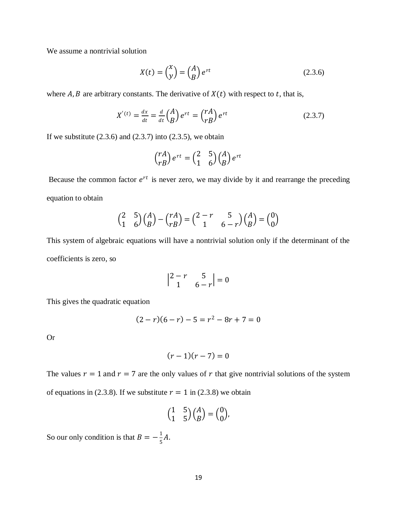We assume a nontrivial solution

$$
X(t) = \begin{pmatrix} x \\ y \end{pmatrix} = \begin{pmatrix} A \\ B \end{pmatrix} e^{rt}
$$
 (2.3.6)

where A, B are arbitrary constants. The derivative of  $X(t)$  with respect to t, that is,

$$
X'(t) = \frac{dx}{dt} = \frac{d}{dt} \begin{pmatrix} A \\ B \end{pmatrix} e^{rt} = \begin{pmatrix} rA \\ rB \end{pmatrix} e^{rt}
$$
 (2.3.7)

If we substitute  $(2.3.6)$  and  $(2.3.7)$  into  $(2.3.5)$ , we obtain

$$
\binom{rA}{rB}e^{rt} = \binom{2}{1}\binom{5}{B} \binom{A}{B}e^{rt}
$$

Because the common factor  $e^{rt}$  is never zero, we may divide by it and rearrange the preceding equation to obtain

$$
\begin{pmatrix} 2 & 5 \ 1 & 6 \end{pmatrix} \begin{pmatrix} A \ B \end{pmatrix} - \begin{pmatrix} rA \ rB \end{pmatrix} = \begin{pmatrix} 2-r & 5 \ 1 & 6-r \end{pmatrix} \begin{pmatrix} A \ B \end{pmatrix} = \begin{pmatrix} 0 \ 0 \end{pmatrix}
$$

This system of algebraic equations will have a nontrivial solution only if the determinant of the coefficients is zero, so

$$
\begin{vmatrix} 2-r & 5 \\ 1 & 6-r \end{vmatrix} = 0
$$

This gives the quadratic equation

$$
(2-r)(6-r) - 5 = r2 - 8r + 7 = 0
$$

Or

$$
(r-1)(r-7)=0
$$

The values  $r = 1$  and  $r = 7$  are the only values of r that give nontrivial solutions of the system of equations in (2.3.8). If we substitute  $r = 1$  in (2.3.8) we obtain

$$
\begin{pmatrix} 1 & 5 \\ 1 & 5 \end{pmatrix} \begin{pmatrix} A \\ B \end{pmatrix} = \begin{pmatrix} 0 \\ 0 \end{pmatrix},
$$

So our only condition is that  $B = -\frac{1}{5}$  $\frac{1}{5}A$ .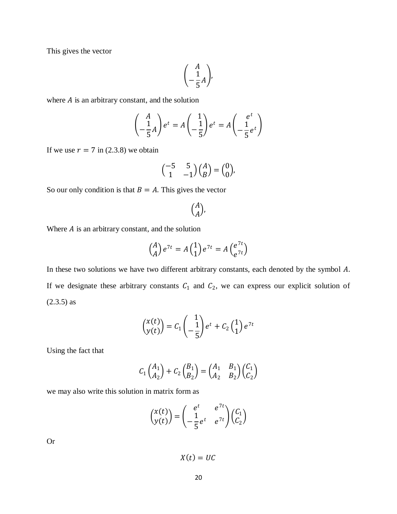This gives the vector

$$
\begin{pmatrix} A \\ -\frac{1}{5}A \end{pmatrix},
$$

where  $A$  is an arbitrary constant, and the solution

$$
\begin{pmatrix} A \\ -\frac{1}{5}A \end{pmatrix} e^t = A \begin{pmatrix} 1 \\ -\frac{1}{5} \end{pmatrix} e^t = A \begin{pmatrix} e^t \\ -\frac{1}{5}e^t \end{pmatrix}
$$

If we use  $r = 7$  in (2.3.8) we obtain

$$
\begin{pmatrix} -5 & 5 \\ 1 & -1 \end{pmatrix} \begin{pmatrix} A \\ B \end{pmatrix} = \begin{pmatrix} 0 \\ 0 \end{pmatrix},
$$

So our only condition is that  $B = A$ . This gives the vector

 $\binom{A}{A}$  $\binom{n}{A}$ ,

Where  $A$  is an arbitrary constant, and the solution

$$
\begin{pmatrix} A \\ A \end{pmatrix} e^{7t} = A \begin{pmatrix} 1 \\ 1 \end{pmatrix} e^{7t} = A \begin{pmatrix} e^{7t} \\ e^{7t} \end{pmatrix}
$$

In these two solutions we have two different arbitrary constants, each denoted by the symbol A. If we designate these arbitrary constants  $C_1$  and  $C_2$ , we can express our explicit solution of (2.3.5) as

$$
\begin{pmatrix} x(t) \\ y(t) \end{pmatrix} = C_1 \begin{pmatrix} 1 \\ -\frac{1}{5} \end{pmatrix} e^t + C_2 \begin{pmatrix} 1 \\ 1 \end{pmatrix} e^{7t}
$$

Using the fact that

$$
C_1 \begin{pmatrix} A_1 \\ A_2 \end{pmatrix} + C_2 \begin{pmatrix} B_1 \\ B_2 \end{pmatrix} = \begin{pmatrix} A_1 & B_1 \\ A_2 & B_2 \end{pmatrix} \begin{pmatrix} C_1 \\ C_2 \end{pmatrix}
$$

we may also write this solution in matrix form as

$$
\begin{pmatrix} x(t) \\ y(t) \end{pmatrix} = \begin{pmatrix} e^t & e^{7t} \\ -\frac{1}{5}e^t & e^{7t} \end{pmatrix} \begin{pmatrix} C_1 \\ C_2 \end{pmatrix}
$$

Or

 $X(t) = UC$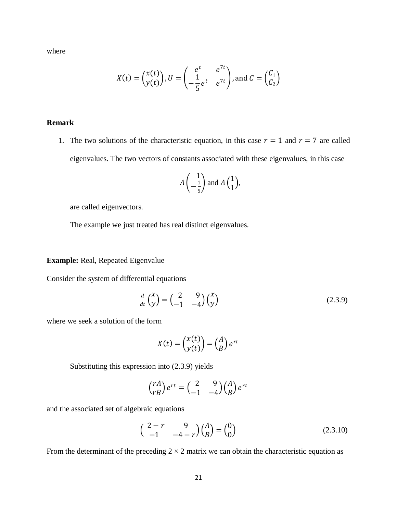where

$$
X(t) = \begin{pmatrix} x(t) \\ y(t) \end{pmatrix}, U = \begin{pmatrix} e^t & e^{7t} \\ -\frac{1}{5}e^t & e^{7t} \end{pmatrix}, \text{and } C = \begin{pmatrix} C_1 \\ C_2 \end{pmatrix}
$$

## **Remark**

1. The two solutions of the characteristic equation, in this case  $r = 1$  and  $r = 7$  are called eigenvalues. The two vectors of constants associated with these eigenvalues, in this case

$$
A\left(\begin{array}{c}1\\-\frac{1}{5}\end{array}\right)
$$
 and 
$$
A\left(\begin{array}{c}1\\1\end{array}\right),
$$

are called eigenvectors.

The example we just treated has real distinct eigenvalues.

**Example:** Real, Repeated Eigenvalue

Consider the system of differential equations

$$
\frac{d}{dt}\begin{pmatrix} x \\ y \end{pmatrix} = \begin{pmatrix} 2 & 9 \\ -1 & -4 \end{pmatrix} \begin{pmatrix} x \\ y \end{pmatrix}
$$
\n(2.3.9)

where we seek a solution of the form

$$
X(t) = \begin{pmatrix} x(t) \\ y(t) \end{pmatrix} = \begin{pmatrix} A \\ B \end{pmatrix} e^{rt}
$$

Substituting this expression into (2.3.9) yields

$$
\begin{pmatrix} rA \\ rB \end{pmatrix} e^{rt} = \begin{pmatrix} 2 & 9 \\ -1 & -4 \end{pmatrix} \begin{pmatrix} A \\ B \end{pmatrix} e^{rt}
$$

and the associated set of algebraic equations

$$
\begin{pmatrix} 2-r & 9 \ -1 & -4-r \end{pmatrix} \begin{pmatrix} A \ B \end{pmatrix} = \begin{pmatrix} 0 \ 0 \end{pmatrix}
$$
 (2.3.10)

From the determinant of the preceding  $2 \times 2$  matrix we can obtain the characteristic equation as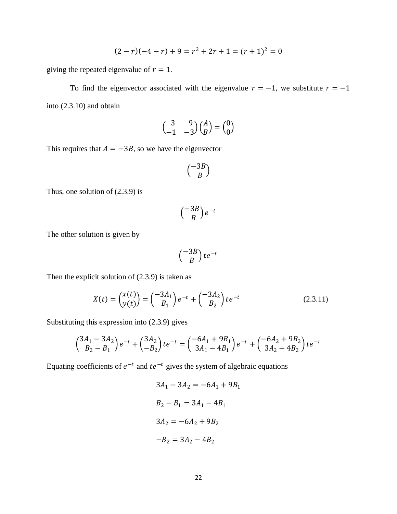$$
(2-r)(-4-r) + 9 = r2 + 2r + 1 = (r + 1)2 = 0
$$

giving the repeated eigenvalue of  $r = 1$ .

To find the eigenvector associated with the eigenvalue  $r = -1$ , we substitute  $r = -1$ into (2.3.10) and obtain

$$
\begin{pmatrix} 3 & 9 \ -1 & -3 \end{pmatrix} \begin{pmatrix} A \\ B \end{pmatrix} = \begin{pmatrix} 0 \\ 0 \end{pmatrix}
$$

This requires that  $A = -3B$ , so we have the eigenvector

$$
\binom{-3B}{B}
$$

Thus, one solution of (2.3.9) is

$$
\binom{-3B}{B}e^{-t}
$$

The other solution is given by

$$
\left(\begin{array}{c}-3B\\B\end{array}\right)te^{-t}
$$

Then the explicit solution of (2.3.9) is taken as

$$
X(t) = \binom{x(t)}{y(t)} = \binom{-3A_1}{B_1} e^{-t} + \binom{-3A_2}{B_2} t e^{-t}
$$
\n(2.3.11)

Substituting this expression into (2.3.9) gives

$$
\begin{pmatrix} 3A_1 - 3A_2 \ B_2 - B_1 \end{pmatrix} e^{-t} + \begin{pmatrix} 3A_2 \ -B_2 \end{pmatrix} t e^{-t} = \begin{pmatrix} -6A_1 + 9B_1 \ 3A_1 - 4B_1 \end{pmatrix} e^{-t} + \begin{pmatrix} -6A_2 + 9B_2 \ 3A_2 - 4B_2 \end{pmatrix} t e^{-t}
$$

Equating coefficients of  $e^{-t}$  and  $te^{-t}$  gives the system of algebraic equations

$$
3A1 - 3A2 = -6A1 + 9B1
$$
  

$$
B2 - B1 = 3A1 - 4B1
$$
  

$$
3A2 = -6A2 + 9B2
$$
  

$$
-B2 = 3A2 - 4B2
$$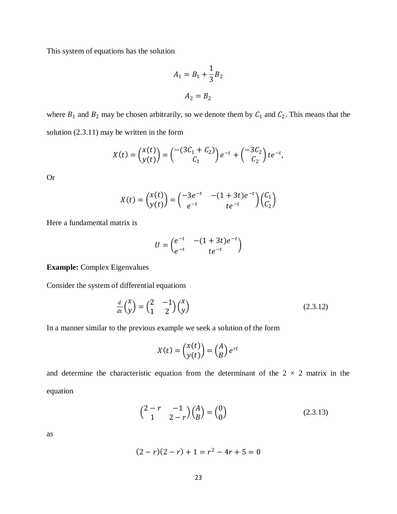This system of equations has the solution

$$
A_1 = B_1 + \frac{1}{3}B_2
$$

$$
A_2 = B_2
$$

where  $B_1$  and  $B_2$  may be chosen arbitrarily, so we denote them by  $C_1$  and  $C_2$ . This means that the solution (2.3.11) may be written in the form

$$
X(t) = \begin{pmatrix} x(t) \\ y(t) \end{pmatrix} = \begin{pmatrix} -(3C_1 + C_2) \\ C_1 \end{pmatrix} e^{-t} + \begin{pmatrix} -3C_2 \\ C_2 \end{pmatrix} t e^{-t},
$$

Or

$$
X(t) = \begin{pmatrix} x(t) \\ y(t) \end{pmatrix} = \begin{pmatrix} -3e^{-t} & -(1+3t)e^{-t} \\ e^{-t} & te^{-t} \end{pmatrix} \begin{pmatrix} C_1 \\ C_2 \end{pmatrix}
$$

Here a fundamental matrix is

$$
U = \begin{pmatrix} e^{-t} & -(1+3t)e^{-t} \\ e^{-t} & te^{-t} \end{pmatrix}
$$

**Example:** Complex Eigenvalues

Consider the system of differential equations

$$
\frac{d}{dt}\begin{pmatrix} x \\ y \end{pmatrix} = \begin{pmatrix} 2 & -1 \\ 1 & 2 \end{pmatrix} \begin{pmatrix} x \\ y \end{pmatrix}
$$
\n(2.3.12)

In a manner similar to the previous example we seek a solution of the form

$$
X(t) = \begin{pmatrix} x(t) \\ y(t) \end{pmatrix} = \begin{pmatrix} A \\ B \end{pmatrix} e^{rt}
$$

and determine the characteristic equation from the determinant of the  $2 \times 2$  matrix in the equation

$$
\begin{pmatrix} 2-r & -1 \\ 1 & 2-r \end{pmatrix} \begin{pmatrix} A \\ B \end{pmatrix} = \begin{pmatrix} 0 \\ 0 \end{pmatrix}
$$
 (2.3.13)

as

$$
(2-r)(2-r) + 1 = r^2 - 4r + 5 = 0
$$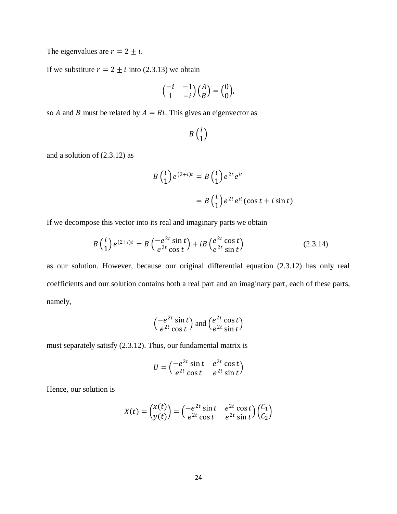The eigenvalues are  $r = 2 \pm i$ .

If we substitute  $r = 2 \pm i$  into (2.3.13) we obtain

$$
\begin{pmatrix} -i & -1 \\ 1 & -i \end{pmatrix} \begin{pmatrix} A \\ B \end{pmatrix} = \begin{pmatrix} 0 \\ 0 \end{pmatrix},
$$

so *A* and *B* must be related by  $A = Bi$ . This gives an eigenvector as

$$
B\left(\begin{matrix}i\\1\end{matrix}\right)
$$

and a solution of (2.3.12) as

$$
B\binom{i}{1}e^{(2+i)t} = B\binom{i}{1}e^{2t}e^{it}
$$

$$
= B\binom{i}{1}e^{2t}e^{it}(\cos t + i\sin t)
$$

If we decompose this vector into its real and imaginary parts we obtain

$$
B\left(\begin{array}{c}i\\1\end{array}\right)e^{(2+i)t} = B\left(\begin{array}{c}-e^{2t}\sin t\\e^{2t}\cos t\end{array}\right) + iB\left(\begin{array}{c}e^{2t}\cos t\\e^{2t}\sin t\end{array}\right) \tag{2.3.14}
$$

as our solution. However, because our original differential equation (2.3.12) has only real coefficients and our solution contains both a real part and an imaginary part, each of these parts, namely,

$$
\begin{pmatrix} -e^{2t} \sin t \\ e^{2t} \cos t \end{pmatrix}
$$
 and 
$$
\begin{pmatrix} e^{2t} \cos t \\ e^{2t} \sin t \end{pmatrix}
$$

must separately satisfy (2.3.12). Thus, our fundamental matrix is

$$
U = \begin{pmatrix} -e^{2t} \sin t & e^{2t} \cos t \\ e^{2t} \cos t & e^{2t} \sin t \end{pmatrix}
$$

Hence, our solution is

$$
X(t) = \begin{pmatrix} x(t) \\ y(t) \end{pmatrix} = \begin{pmatrix} -e^{2t} \sin t & e^{2t} \cos t \\ e^{2t} \cos t & e^{2t} \sin t \end{pmatrix} \begin{pmatrix} C_1 \\ C_2 \end{pmatrix}
$$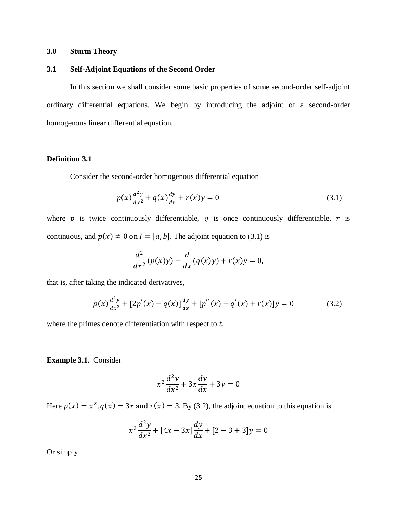## **3.0 Sturm Theory**

## **3.1 Self-Adjoint Equations of the Second Order**

In this section we shall consider some basic properties of some second-order self-adjoint ordinary differential equations. We begin by introducing the adjoint of a second-order homogenous linear differential equation.

## **Definition 3.1**

Consider the second-order homogenous differential equation

$$
p(x)\frac{d^2y}{dx^2} + q(x)\frac{dy}{dx} + r(x)y = 0
$$
\n(3.1)

where  $p$  is twice continuously differentiable,  $q$  is once continuously differentiable,  $r$  is continuous, and  $p(x) \neq 0$  on  $I = [a, b]$ . The adjoint equation to (3.1) is

$$
\frac{d^2}{dx^2}(p(x)y) - \frac{d}{dx}(q(x)y) + r(x)y = 0,
$$

that is, after taking the indicated derivatives,

$$
p(x)\frac{d^2y}{dx^2} + [2p'(x) - q(x)]\frac{dy}{dx} + [p''(x) - q'(x) + r(x)]y = 0
$$
\n(3.2)

where the primes denote differentiation with respect to  $t$ .

**Example 3.1.** Consider

$$
x^2\frac{d^2y}{dx^2} + 3x\frac{dy}{dx} + 3y = 0
$$

Here  $p(x) = x^2$ ,  $q(x) = 3x$  and  $r(x) = 3$ . By (3.2), the adjoint equation to this equation is

$$
x^{2} \frac{d^{2}y}{dx^{2}} + [4x - 3x] \frac{dy}{dx} + [2 - 3 + 3]y = 0
$$

Or simply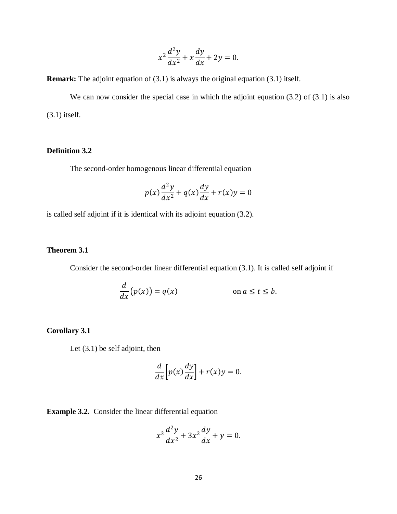$$
x^2\frac{d^2y}{dx^2} + x\frac{dy}{dx} + 2y = 0.
$$

**Remark:** The adjoint equation of (3.1) is always the original equation (3.1) itself.

We can now consider the special case in which the adjoint equation (3.2) of (3.1) is also (3.1) itself.

## **Definition 3.2**

The second-order homogenous linear differential equation

$$
p(x)\frac{d^2y}{dx^2} + q(x)\frac{dy}{dx} + r(x)y = 0
$$

is called self adjoint if it is identical with its adjoint equation (3.2).

## **Theorem 3.1**

Consider the second-order linear differential equation (3.1). It is called self adjoint if

$$
\frac{d}{dx}(p(x)) = q(x) \qquad \text{on } a \le t \le b.
$$

## **Corollary 3.1**

Let (3.1) be self adjoint, then

$$
\frac{d}{dx}\left[p(x)\frac{dy}{dx}\right] + r(x)y = 0.
$$

**Example 3.2.** Consider the linear differential equation

$$
x^3\frac{d^2y}{dx^2} + 3x^2\frac{dy}{dx} + y = 0.
$$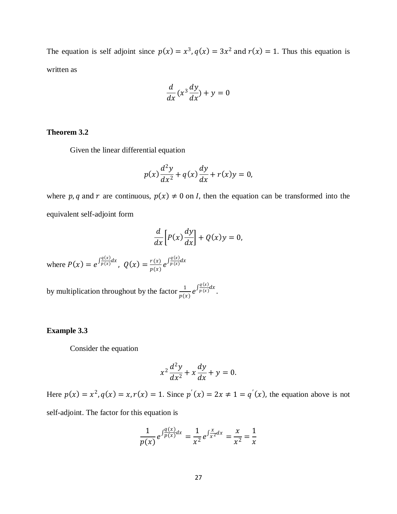The equation is self adjoint since  $p(x) = x^3$ ,  $q(x) = 3x^2$  and  $r(x) = 1$ . Thus this equation is written as

$$
\frac{d}{dx}(x^3\frac{dy}{dx}) + y = 0
$$

## **Theorem 3.2**

Given the linear differential equation

$$
p(x)\frac{d^2y}{dx^2} + q(x)\frac{dy}{dx} + r(x)y = 0,
$$

where p, q and r are continuous,  $p(x) \neq 0$  on *I*, then the equation can be transformed into the equivalent self-adjoint form

$$
\frac{d}{dx}\left[P(x)\frac{dy}{dx}\right] + Q(x)y = 0,
$$

where  $P(x) = e^{\int_{p(x)}^{q(x)}}$  $\frac{q(x)}{p(x)}dx$ ,  $Q(x) = \frac{r(x)}{p(x)}$  $\frac{r(x)}{p(x)}e^{\int \frac{q(x)}{p(x)}}$  $\frac{q(x)}{p(x)}dx$ 

by multiplication throughout by the factor  $\frac{1}{p(x)} e^{\int \frac{q(x)}{p(x)}}$  $\frac{q(x)}{p(x)}dx$ 

#### **Example 3.3**

Consider the equation

$$
x^2\frac{d^2y}{dx^2} + x\frac{dy}{dx} + y = 0.
$$

Here  $p(x) = x^2$ ,  $q(x) = x$ ,  $r(x) = 1$ . Since  $p'(x) = 2x \ne 1 = q'(x)$ , the equation above is not self-adjoint. The factor for this equation is

$$
\frac{1}{p(x)}e^{\int \frac{q(x)}{p(x)}dx} = \frac{1}{x^2}e^{\int \frac{x}{x^2}dx} = \frac{x}{x^2} = \frac{1}{x}
$$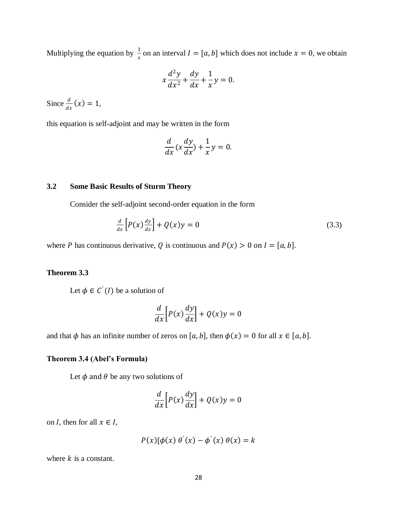Multiplying the equation by  $\frac{1}{x}$  on an interval  $I = [a, b]$  which does not include  $x = 0$ , we obtain

$$
x\frac{d^2y}{dx^2} + \frac{dy}{dx} + \frac{1}{x}y = 0.
$$

Since  $\frac{d}{dx}(x) = 1$ ,

this equation is self-adjoint and may be written in the form

$$
\frac{d}{dx}(x\frac{dy}{dx}) + \frac{1}{x}y = 0.
$$

## **3.2 Some Basic Results of Sturm Theory**

Consider the self-adjoint second-order equation in the form

$$
\frac{d}{dx}\left[P(x)\frac{dy}{dx}\right] + Q(x)y = 0\tag{3.3}
$$

where P has continuous derivative, Q is continuous and  $P(x) > 0$  on  $I = [a, b]$ .

## **Theorem 3.3**

Let  $\phi \in C'(I)$  be a solution of

$$
\frac{d}{dx}\left[P(x)\frac{dy}{dx}\right] + Q(x)y = 0
$$

and that  $\phi$  has an infinite number of zeros on [a, b], then  $\phi(x) = 0$  for all  $x \in [a, b]$ .

## **Theorem 3.4 (Abel's Formula)**

Let  $\phi$  and  $\theta$  be any two solutions of

$$
\frac{d}{dx}\left[P(x)\frac{dy}{dx}\right] + Q(x)y = 0
$$

on *I*, then for all  $x \in I$ ,

$$
P(x)[\phi(x) \theta'(x) - \phi'(x) \theta(x) = k
$$

where  $k$  is a constant.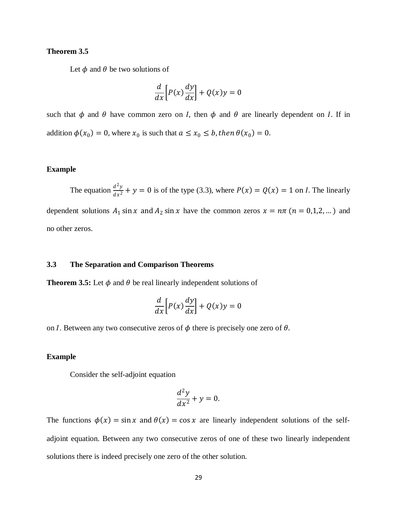## **Theorem 3.5**

Let  $\phi$  and  $\theta$  be two solutions of

$$
\frac{d}{dx}\left[P(x)\frac{dy}{dx}\right] + Q(x)y = 0
$$

such that  $\phi$  and  $\theta$  have common zero on *I*, then  $\phi$  and  $\theta$  are linearly dependent on *I*. If in addition  $\phi(x_0) = 0$ , where  $x_0$  is such that  $a \le x_0 \le b$ , then  $\theta(x_0) = 0$ .

#### **Example**

The equation  $\frac{d^2y}{dx^2}$  $\frac{d^2y}{dx^2} + y = 0$  is of the type (3.3), where  $P(x) = Q(x) = 1$  on *I*. The linearly

dependent solutions  $A_1 \sin x$  and  $A_2 \sin x$  have the common zeros  $x = n\pi$  ( $n = 0,1,2,...$ ) and no other zeros.

## **3.3 The Separation and Comparison Theorems**

**Theorem 3.5:** Let  $\phi$  and  $\theta$  be real linearly independent solutions of

$$
\frac{d}{dx}\left[P(x)\frac{dy}{dx}\right] + Q(x)y = 0
$$

on *I*. Between any two consecutive zeros of  $\phi$  there is precisely one zero of  $\theta$ .

## **Example**

Consider the self-adjoint equation

$$
\frac{d^2y}{dx^2} + y = 0.
$$

The functions  $\phi(x) = \sin x$  and  $\theta(x) = \cos x$  are linearly independent solutions of the selfadjoint equation. Between any two consecutive zeros of one of these two linearly independent solutions there is indeed precisely one zero of the other solution.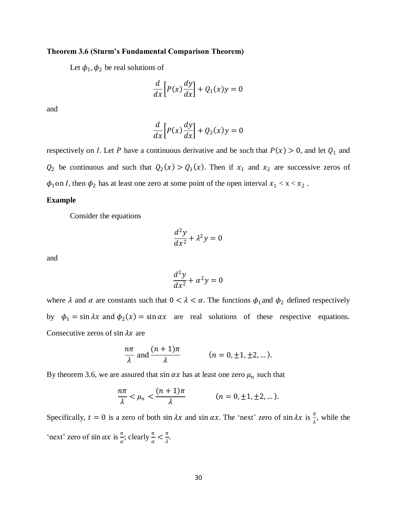#### **Theorem 3.6 (Sturm's Fundamental Comparison Theorem)**

Let  $\phi_1$ ,  $\phi_2$  be real solutions of

$$
\frac{d}{dx}\left[P(x)\frac{dy}{dx}\right] + Q_1(x)y = 0
$$

and

$$
\frac{d}{dx}\left[P(x)\frac{dy}{dx}\right] + Q_2(x)y = 0
$$

respectively on *I*. Let *P* have a continuous derivative and be such that  $P(x) > 0$ , and let  $Q_1$  and  $Q_2$  be continuous and such that  $Q_2(x) > Q_1(x)$ . Then if  $x_1$  and  $x_2$  are successive zeros of  $\phi_1$  on *I*, then  $\phi_2$  has at least one zero at some point of the open interval  $x_1 < x < x_2$ .

## **Example**

Consider the equations

$$
\frac{d^2y}{dx^2} + \lambda^2 y = 0
$$

and

$$
\frac{d^2y}{dx^2} + \alpha^2 y = 0
$$

where  $\lambda$  and  $\alpha$  are constants such that  $0 < \lambda < \alpha$ . The functions  $\phi_1$  and  $\phi_2$  defined respectively by  $\phi_1 = \sin \lambda x$  and  $\phi_2(x) = \sin \alpha x$  are real solutions of these respective equations. Consecutive zeros of sin  $\lambda x$  are

$$
\frac{n\pi}{\lambda} \text{ and } \frac{(n+1)\pi}{\lambda} \qquad (n = 0, \pm 1, \pm 2, \dots).
$$

By theorem 3.6, we are assured that  $\sin \alpha x$  has at least one zero  $\mu_n$  such that

$$
\frac{n\pi}{\lambda} < \mu_n < \frac{(n+1)\pi}{\lambda} \qquad (n = 0, \pm 1, \pm 2, \dots).
$$

Specifically,  $t = 0$  is a zero of both  $\sin \lambda x$  and  $\sin \alpha x$ . The 'next' zero of  $\sin \lambda x$  is  $\frac{\pi}{\lambda}$ , while the 'next' zero of sin  $\alpha x$  is  $\frac{\pi}{\alpha}$ ; clearly  $\frac{\pi}{\alpha} < \frac{\pi}{\lambda}$  $\frac{\pi}{\lambda}$ .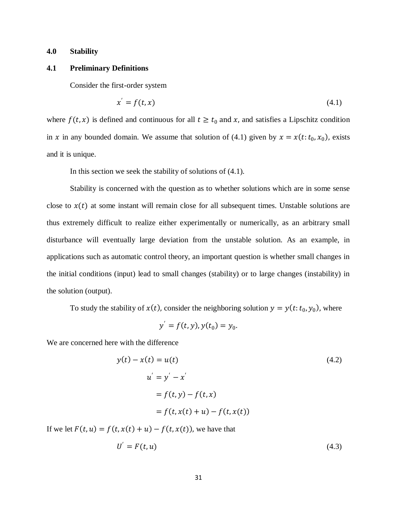## **4.0 Stability**

#### **4.1 Preliminary Definitions**

Consider the first-order system

$$
x' = f(t, x) \tag{4.1}
$$

where  $f(t, x)$  is defined and continuous for all  $t \ge t_0$  and x, and satisfies a Lipschitz condition in x in any bounded domain. We assume that solution of (4.1) given by  $x = x(t; t_0, x_0)$ , exists and it is unique.

In this section we seek the stability of solutions of (4.1).

Stability is concerned with the question as to whether solutions which are in some sense close to  $x(t)$  at some instant will remain close for all subsequent times. Unstable solutions are thus extremely difficult to realize either experimentally or numerically, as an arbitrary small disturbance will eventually large deviation from the unstable solution. As an example, in applications such as automatic control theory, an important question is whether small changes in the initial conditions (input) lead to small changes (stability) or to large changes (instability) in the solution (output).

To study the stability of  $x(t)$ , consider the neighboring solution  $y = y(t; t_0, y_0)$ , where

$$
y' = f(t, y), y(t_0) = y_0.
$$

We are concerned here with the difference

$$
y(t) - x(t) = u(t)
$$
  
\n
$$
u' = y' - x'
$$
  
\n
$$
= f(t, y) - f(t, x)
$$
  
\n
$$
= f(t, x(t) + u) - f(t, x(t))
$$
\n(4.2)

If we let  $F(t, u) = f(t, x(t) + u) - f(t, x(t))$ , we have that

$$
U' = F(t, u) \tag{4.3}
$$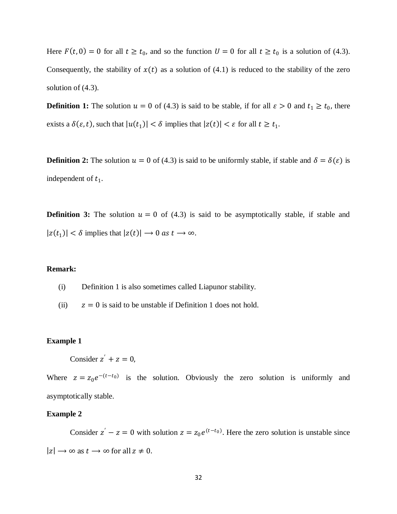Here  $F(t, 0) = 0$  for all  $t \ge t_0$ , and so the function  $U = 0$  for all  $t \ge t_0$  is a solution of (4.3). Consequently, the stability of  $x(t)$  as a solution of (4.1) is reduced to the stability of the zero solution of (4.3).

**Definition 1:** The solution  $u = 0$  of (4.3) is said to be stable, if for all  $\varepsilon > 0$  and  $t_1 \ge t_0$ , there exists a  $\delta(\varepsilon, t)$ , such that  $|u(t_1)| < \delta$  implies that  $|z(t)| < \varepsilon$  for all  $t \ge t_1$ .

**Definition 2:** The solution  $u = 0$  of (4.3) is said to be uniformly stable, if stable and  $\delta = \delta(\varepsilon)$  is independent of  $t_1$ .

**Definition 3:** The solution  $u = 0$  of (4.3) is said to be asymptotically stable, if stable and  $|z(t_1)| < \delta$  implies that  $|z(t)| \to 0$  as  $t \to \infty$ .

## **Remark:**

- (i) Definition 1 is also sometimes called Liapunor stability.
- (ii)  $z = 0$  is said to be unstable if Definition 1 does not hold.

#### **Example 1**

Consider  $z' + z = 0$ ,

Where  $z = z_0 e^{-(t-t_0)}$  is the solution. Obviously the zero solution is uniformly and asymptotically stable.

#### **Example 2**

Consider  $z' - z = 0$  with solution  $z = z_0 e^{(t-t_0)}$ . Here the zero solution is unstable since  $|z| \rightarrow \infty$  as  $t \rightarrow \infty$  for all  $z \neq 0$ .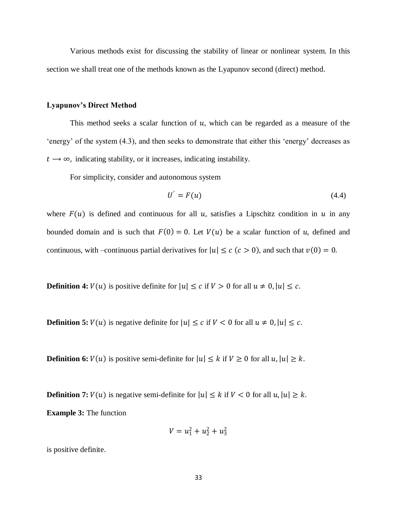Various methods exist for discussing the stability of linear or nonlinear system. In this section we shall treat one of the methods known as the Lyapunov second (direct) method.

#### **Lyapunov's Direct Method**

This method seeks a scalar function of  $u$ , which can be regarded as a measure of the 'energy' of the system (4.3), and then seeks to demonstrate that either this 'energy' decreases as  $t \rightarrow \infty$ , indicating stability, or it increases, indicating instability.

For simplicity, consider and autonomous system

$$
U' = F(u) \tag{4.4}
$$

where  $F(u)$  is defined and continuous for all u, satisfies a Lipschitz condition in u in any bounded domain and is such that  $F(0) = 0$ . Let  $V(u)$  be a scalar function of u, defined and continuous, with –continuous partial derivatives for  $|u| \le c$  ( $c > 0$ ), and such that  $v(0) = 0$ .

**Definition 4:**  $V(u)$  is positive definite for  $|u| \le c$  if  $V > 0$  for all  $u \ne 0$ ,  $|u| \le c$ .

**Definition 5:**  $V(u)$  is negative definite for  $|u| \le c$  if  $V < 0$  for all  $u \ne 0$ ,  $|u| \le c$ .

**Definition 6:**  $V(u)$  is positive semi-definite for  $|u| \leq k$  if  $V \geq 0$  for all  $u, |u| \geq k$ .

**Definition 7:**  $V(u)$  is negative semi-definite for  $|u| \le k$  if  $V < 0$  for all  $u, |u| \ge k$ . **Example 3:** The function

$$
V = u_1^2 + u_2^2 + u_3^2
$$

is positive definite.